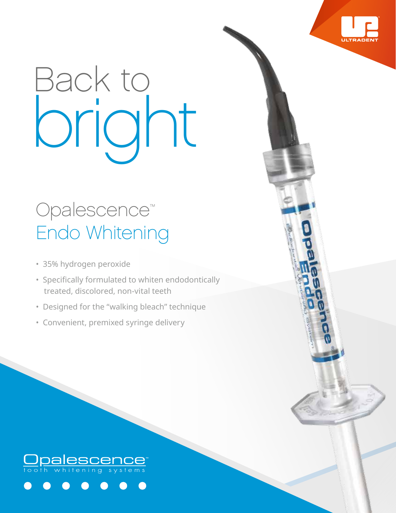# Back to bright

## Opalescence™ Endo Whitening

- 35% hydrogen peroxide
- Specifically formulated to whiten endodontically treated, discolored, non-vital teeth
- Designed for the "walking bleach" technique
- Convenient, premixed syringe delivery